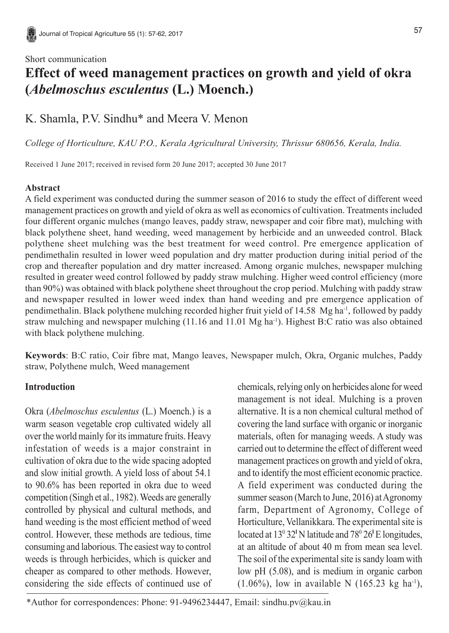# Short communication **Effect of weed management practices on growth and yield of okra (***Abelmoschus esculentus* **(L.) Moench.)**

## K. Shamla, P.V. Sindhu\* and Meera V. Menon

*College of Horticulture, KAU P.O., Kerala Agricultural University, Thrissur 680656, Kerala, India.*

Received 1 June 2017; received in revised form 20 June 2017; accepted 30 June 2017

## **Abstract**

A field experiment was conducted during the summer season of 2016 to study the effect of different weed management practices on growth and yield of okra as well as economics of cultivation. Treatments included four different organic mulches (mango leaves, paddy straw, newspaper and coir fibre mat), mulching with black polythene sheet, hand weeding, weed management by herbicide and an unweeded control. Black polythene sheet mulching was the best treatment for weed control. Pre emergence application of pendimethalin resulted in lower weed population and dry matter production during initial period of the crop and thereafter population and dry matter increased. Among organic mulches, newspaper mulching resulted in greater weed control followed by paddy straw mulching. Higher weed control efficiency (more than 90%) was obtained with black polythene sheet throughout the crop period. Mulching with paddy straw and newspaper resulted in lower weed index than hand weeding and pre emergence application of pendimethalin. Black polythene mulching recorded higher fruit yield of 14.58 Mg ha-1, followed by paddy straw mulching and newspaper mulching (11.16 and 11.01 Mg ha-1). Highest B:C ratio was also obtained with black polythene mulching.

**Keywords**: B:C ratio, Coir fibre mat, Mango leaves, Newspaper mulch, Okra, Organic mulches, Paddy straw, Polythene mulch, Weed management

## **Introduction**

Okra (*Abelmoschus esculentus* (L.) Moench.) is a warm season vegetable crop cultivated widely all over the world mainly for its immature fruits. Heavy infestation of weeds is a major constraint in cultivation of okra due to the wide spacing adopted and slow initial growth. A yield loss of about 54.1 to 90.6% has been reported in okra due to weed competition (Singh et al., 1982). Weeds are generally controlled by physical and cultural methods, and hand weeding is the most efficient method of weed control. However, these methods are tedious, time consuming and laborious. The easiest way to control weeds is through herbicides, which is quicker and cheaper as compared to other methods. However, considering the side effects of continued use of chemicals, relying only on herbicides alone for weed management is not ideal. Mulching is a proven alternative. It is a non chemical cultural method of covering the land surface with organic or inorganic materials, often for managing weeds. A study was carried out to determine the effect of different weed management practices on growth and yield of okra, and to identify the most efficient economic practice. A field experiment was conducted during the summer season (March to June, 2016) at Agronomy farm, Department of Agronomy, College of Horticulture, Vellanikkara. The experimental site is located at 13<sup>0</sup> 32<sup>°</sup>N latitude and 78<sup>0</sup> 26<sup>°</sup>E longitudes, at an altitude of about 40 m from mean sea level. The soil of the experimental site is sandy loam with low pH (5.08), and is medium in organic carbon  $(1.06\%)$ , low in available N  $(165.23 \text{ kg} \text{ ha}^{-1})$ ,

\*Author for correspondences: Phone: 91-9496234447, Email: sindhu.pv@kau.in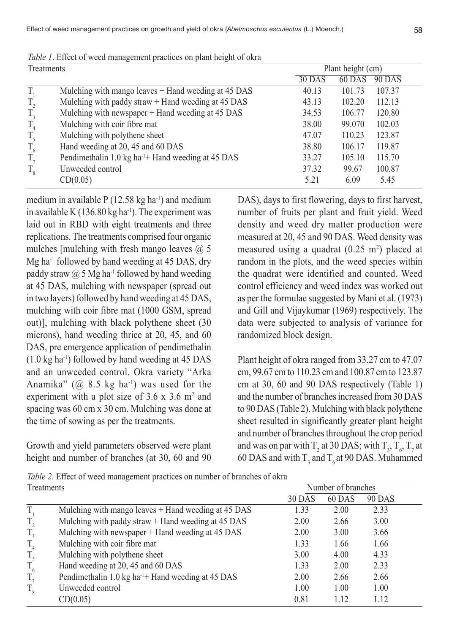Effect of weed management practices on growth and yield of okra (*Abelmoschus esculentus* (L.) Moench.)

| Treatments |                                                                | Plant height (cm) |        |               |  |
|------------|----------------------------------------------------------------|-------------------|--------|---------------|--|
|            |                                                                | 30 DAS            | 60 DAS | <b>90 DAS</b> |  |
| T,         | Mulching with mango leaves + Hand weeding at 45 DAS            | 40.13             | 101.73 | 107.37        |  |
| $T_{2}$    | Mulching with paddy straw + Hand weeding at 45 DAS             | 43.13             | 102.20 | 112.13        |  |
| $T_{3}$    | Mulching with newspaper + Hand weeding at 45 DAS               | 34.53             | 106.77 | 120.80        |  |
| $T_{4}$    | Mulching with coir fibre mat                                   | 38.00             | 99.070 | 102.03        |  |
| $T_{5}$    | Mulching with polythene sheet                                  | 47.07             | 110.23 | 123.87        |  |
| $T_{6}$    | Hand weeding at 20, 45 and 60 DAS                              | 38.80             | 106.17 | 119.87        |  |
| $T_{\tau}$ | Pendimethalin 1.0 kg ha <sup>-1</sup> + Hand weeding at 45 DAS | 33.27             | 105.10 | 115.70        |  |
| $T_{8}$    | Unweeded control                                               | 37.32             | 99.67  | 100.87        |  |
|            | CD(0.05)                                                       | 5.21              | 6.09   | 5.45          |  |

*Table 1*. Effect of weed management practices on plant height of okra

medium in available  $P(12.58 \text{ kg ha}^{-1})$  and medium in available K  $(136.80 \text{ kg} \text{ ha}^{-1})$ . The experiment was laid out in RBD with eight treatments and three replications. The treatments comprised four organic mulches [mulching with fresh mango leaves  $\omega$  5 Mg ha<sup>-1</sup> followed by hand weeding at 45 DAS, dry paddy straw  $\omega$  5 Mg ha<sup>-1</sup> followed by hand weeding at 45 DAS, mulching with newspaper (spread out in two layers) followed by hand weeding at 45 DAS, mulching with coir fibre mat (1000 GSM, spread out)], mulching with black polythene sheet (30 microns), hand weeding thrice at 20, 45, and 60 DAS, pre emergence application of pendimethalin (1.0 kg ha-1) followed by hand weeding at 45 DAS and an unweeded control. Okra variety "Arka Anamika" ( $\omega$  8.5 kg ha<sup>-1</sup>) was used for the experiment with a plot size of  $3.6 \times 3.6$  m<sup>2</sup> and spacing was 60 cm x 30 cm. Mulching was done at the time of sowing as per the treatments.

Growth and yield parameters observed were plant height and number of branches (at 30, 60 and 90 DAS), days to first flowering, days to first harvest, number of fruits per plant and fruit yield. Weed density and weed dry matter production were measured at 20, 45 and 90 DAS. Weed density was measured using a quadrat  $(0.25 \text{ m}^2)$  placed at random in the plots, and the weed species within the quadrat were identified and counted. Weed control efficiency and weed index was worked out as per the formulae suggested by Mani et al*.* (1973) and Gill and Vijaykumar (1969) respectively. The data were subjected to analysis of variance for randomized block design.

Plant height of okra ranged from 33.27 cm to 47.07 cm, 99.67 cm to 110.23 cm and 100.87 cm to 123.87 cm at 30, 60 and 90 DAS respectively (Table 1) and the number of branches increased from 30 DAS to 90 DAS (Table 2). Mulching with black polythene sheet resulted in significantly greater plant height and number of branches throughout the crop period and was on par with  $T_2$  at 30 DAS; with  $T_3$ ,  $T_6$ ,  $T_7$  at 60 DAS and with  $T_3$  and  $T_6$  at 90 DAS. Muhammed

*Table 2*. Effect of weed management practices on number of branches of okra

| Treatments |                                                                | Number of branches |        |        |  |
|------------|----------------------------------------------------------------|--------------------|--------|--------|--|
|            |                                                                | 30 DAS             | 60 DAS | 90 DAS |  |
| T          | Mulching with mango leaves + Hand weeding at 45 DAS            | 1.33               | 2.00   | 2.33   |  |
| $T_{2}$    | Mulching with paddy straw + Hand weeding at 45 DAS             | 2.00               | 2.66   | 3.00   |  |
| $T_{3}$    | Mulching with newspaper + Hand weeding at 45 DAS               | 2.00               | 3.00   | 3.66   |  |
| $T_{4}$    | Mulching with coir fibre mat                                   | 1.33               | 1.66   | 1.66   |  |
| $T_{5}$    | Mulching with polythene sheet                                  | 3.00               | 4.00   | 4.33   |  |
| $T_{6}$    | Hand weeding at 20, 45 and 60 DAS                              | 1.33               | 2.00   | 2.33   |  |
| $T_{\tau}$ | Pendimethalin 1.0 kg ha <sup>-1</sup> + Hand weeding at 45 DAS | 2.00               | 2.66   | 2.66   |  |
| $T_{8}$    | Unweeded control                                               | 1.00               | 1.00   | 1.00   |  |
|            | CD(0.05)                                                       | 0.81               | 1.12   | 1.12   |  |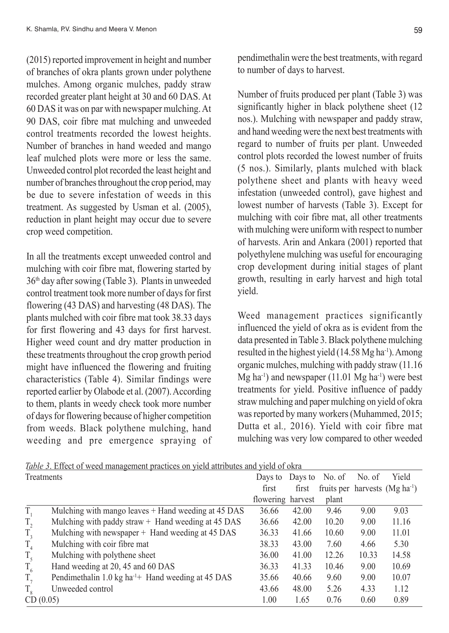(2015) reported improvement in height and number of branches of okra plants grown under polythene mulches. Among organic mulches, paddy straw recorded greater plant height at 30 and 60 DAS. At 60 DAS it was on par with newspaper mulching. At 90 DAS, coir fibre mat mulching and unweeded control treatments recorded the lowest heights. Number of branches in hand weeded and mango leaf mulched plots were more or less the same. Unweeded control plot recorded the least height and number of branches throughout the crop period, may be due to severe infestation of weeds in this treatment. As suggested by Usman et al. (2005), reduction in plant height may occur due to severe crop weed competition.

In all the treatments except unweeded control and mulching with coir fibre mat, flowering started by 36th day after sowing (Table 3). Plants in unweeded control treatment took more number of days for first flowering (43 DAS) and harvesting (48 DAS). The plants mulched with coir fibre mat took 38.33 days for first flowering and 43 days for first harvest. Higher weed count and dry matter production in these treatments throughout the crop growth period might have influenced the flowering and fruiting characteristics (Table 4). Similar findings were reported earlier by Olabode et al. (2007). According to them, plants in weedy check took more number of days for flowering because of higher competition from weeds. Black polythene mulching, hand weeding and pre emergence spraying of pendimethalin were the best treatments, with regard to number of days to harvest.

Number of fruits produced per plant (Table 3) was significantly higher in black polythene sheet (12 nos.). Mulching with newspaper and paddy straw, and hand weeding were the next best treatments with regard to number of fruits per plant. Unweeded control plots recorded the lowest number of fruits (5 nos.). Similarly, plants mulched with black polythene sheet and plants with heavy weed infestation (unweeded control), gave highest and lowest number of harvests (Table 3). Except for mulching with coir fibre mat, all other treatments with mulching were uniform with respect to number of harvests. Arin and Ankara (2001) reported that polyethylene mulching was useful for encouraging crop development during initial stages of plant growth, resulting in early harvest and high total yield.

Weed management practices significantly influenced the yield of okra as is evident from the data presented in Table 3. Black polythene mulching resulted in the highest yield  $(14.58 \text{ Mg} \text{ ha}^{-1})$ . Among organic mulches, mulching with paddy straw (11.16  $Mg$  ha<sup>-1</sup>) and newspaper (11.01 Mg ha<sup>-1</sup>) were best treatments for yield. Positive influence of paddy straw mulching and paper mulching on yield of okra was reported by many workers (Muhammed, 2015; Dutta et al*.,* 2016). Yield with coir fibre mat mulching was very low compared to other weeded

| Treatments |                                                                | Days to Days to No. of |       |       | No. of | Yield                              |
|------------|----------------------------------------------------------------|------------------------|-------|-------|--------|------------------------------------|
|            |                                                                | first                  | first |       |        | fruits per harvests $(Mg ha^{-1})$ |
|            |                                                                | flowering harvest      |       | plant |        |                                    |
| T.         | Mulching with mango leaves + Hand weeding at 45 DAS            | 36.66                  | 42.00 | 9.46  | 9.00   | 9.03                               |
| $T_{2}$    | Mulching with paddy straw $+$ Hand weeding at 45 DAS           | 36.66                  | 42.00 | 10.20 | 9.00   | 11.16                              |
| $T_{3}$    | Mulching with newspaper + Hand weeding at 45 DAS               | 36.33                  | 41.66 | 10.60 | 9.00   | 11.01                              |
| $T_{4}$    | Mulching with coir fibre mat                                   | 38.33                  | 43.00 | 7.60  | 4.66   | 5.30                               |
| $T_{5}$    | Mulching with polythene sheet                                  | 36.00                  | 41.00 | 12.26 | 10.33  | 14.58                              |
| $T_{6}$    | Hand weeding at 20, 45 and 60 DAS                              | 36.33                  | 41.33 | 10.46 | 9.00   | 10.69                              |
| $T_{\tau}$ | Pendimethalin 1.0 kg ha <sup>-1</sup> + Hand weeding at 45 DAS | 35.66                  | 40.66 | 9.60  | 9.00   | 10.07                              |
|            | Unweeded control                                               | 43.66                  | 48.00 | 5.26  | 4.33   | 1.12                               |
| CD(0.05)   |                                                                | 1.00                   | 1.65  | 0.76  | 0.60   | 0.89                               |

*Table 3*. Effect of weed management practices on yield attributes and yield of okra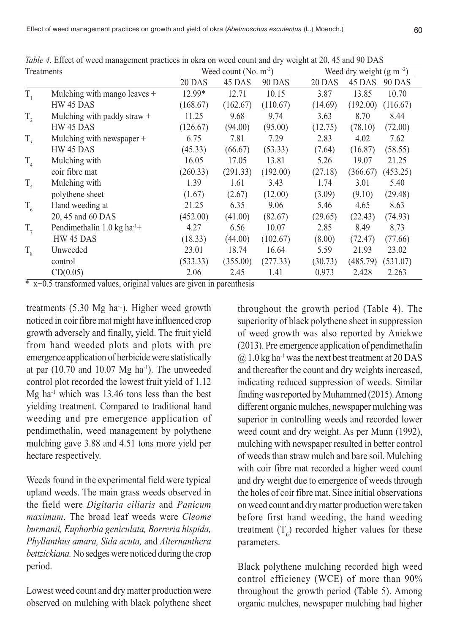| <i>ruote</i> 7. Entere of weed management praetices in own on weed count and ary weight at 20, 19 and 70 Br to<br>Treatments |                                        | Weed count $(N_0, m^2)$ |          |               | Weed dry weight $(g m^{-2})$      |  |  |
|------------------------------------------------------------------------------------------------------------------------------|----------------------------------------|-------------------------|----------|---------------|-----------------------------------|--|--|
|                                                                                                                              |                                        | 20 DAS                  | 45 DAS   | <b>90 DAS</b> | 20 DAS<br>45 DAS<br><b>90 DAS</b> |  |  |
| $T_{1}$                                                                                                                      | Mulching with mango leaves +           | 12.99*                  | 12.71    | 10.15         | 3.87<br>13.85<br>10.70            |  |  |
|                                                                                                                              | HW 45 DAS                              | (168.67)                | (162.67) | (110.67)      | (192.00)<br>(14.69)<br>(116.67)   |  |  |
| $T_{2}$                                                                                                                      | Mulching with paddy straw +            | 11.25                   | 9.68     | 9.74          | 3.63<br>8.70<br>8.44              |  |  |
|                                                                                                                              | HW 45 DAS                              | (126.67)                | (94.00)  | (95.00)       | (78.10)<br>(72.00)<br>(12.75)     |  |  |
| $T_{3}$                                                                                                                      | Mulching with newspaper +              | 6.75                    | 7.81     | 7.29          | 4.02<br>2.83<br>7.62              |  |  |
|                                                                                                                              | HW 45 DAS                              | (45.33)                 | (66.67)  | (53.33)       | (16.87)<br>(58.55)<br>(7.64)      |  |  |
| $\mathrm{T}_4$                                                                                                               | Mulching with                          | 16.05                   | 17.05    | 13.81         | 19.07<br>21.25<br>5.26            |  |  |
|                                                                                                                              | coir fibre mat                         | (260.33)                | (291.33) | (192.00)      | (27.18)<br>(453.25)<br>(366.67)   |  |  |
| $T_{\zeta}$                                                                                                                  | Mulching with                          | 1.39                    | 1.61     | 3.43          | 5.40<br>1.74<br>3.01              |  |  |
|                                                                                                                              | polythene sheet                        | (1.67)                  | (2.67)   | (12.00)       | (3.09)<br>(9.10)<br>(29.48)       |  |  |
| $T_{6}$                                                                                                                      | Hand weeding at                        | 21.25                   | 6.35     | 9.06          | 4.65<br>8.63<br>5.46              |  |  |
|                                                                                                                              | 20, 45 and 60 DAS                      | (452.00)                | (41.00)  | (82.67)       | (29.65)<br>(22.43)<br>(74.93)     |  |  |
| $T_{7}$                                                                                                                      | Pendimethalin 1.0 kg ha <sup>-1+</sup> | 4.27                    | 6.56     | 10.07         | 8.49<br>2.85<br>8.73              |  |  |
|                                                                                                                              | HW 45 DAS                              | (18.33)                 | (44.00)  | (102.67)      | (72.47)<br>(8.00)<br>(77.66)      |  |  |
| $T_{8}$                                                                                                                      | Unweeded                               | 23.01                   | 18.74    | 16.64         | 21.93<br>23.02<br>5.59            |  |  |
|                                                                                                                              | control                                | (533.33)                | (355.00) | (277.33)      | (531.07)<br>(30.73)<br>(485.79)   |  |  |
|                                                                                                                              | CD(0.05)                               | 2.06                    | 2.45     | 1.41          | 2.428<br>2.263<br>0.973           |  |  |

*Table 4.* Effect of weed management practices in okra on weed count and dry weight at 20, 45 and 90 DAS.

 $\overline{\text{A}}$  x+0.5 transformed values, original values are given in parenthesis

treatments  $(5.30 \text{ Mg} \text{ ha}^{-1})$ . Higher weed growth noticed in coir fibre mat might have influenced crop growth adversely and finally, yield. The fruit yield from hand weeded plots and plots with pre emergence application of herbicide were statistically at par  $(10.70$  and  $10.07$  Mg ha<sup>-1</sup>). The unweeded control plot recorded the lowest fruit yield of 1.12  $Mg$  ha<sup>-1</sup> which was 13.46 tons less than the best yielding treatment. Compared to traditional hand weeding and pre emergence application of pendimethalin, weed management by polythene mulching gave 3.88 and 4.51 tons more yield per hectare respectively.

Weeds found in the experimental field were typical upland weeds. The main grass weeds observed in the field were *Digitaria ciliaris* and *Panicum maximum*. The broad leaf weeds were *Cleome burmanii, Euphorbia geniculata, Borreria hispida, Phyllanthus amara, Sida acuta,* and *Alternanthera bettzickiana.* No sedges were noticed during the crop period.

Lowest weed count and dry matter production were observed on mulching with black polythene sheet throughout the growth period (Table 4). The superiority of black polythene sheet in suppression of weed growth was also reported by Aniekwe (2013). Pre emergence application of pendimethalin  $(a)$  1.0 kg ha<sup>-1</sup> was the next best treatment at 20 DAS and thereafter the count and dry weights increased, indicating reduced suppression of weeds. Similar finding was reported by Muhammed (2015). Among different organic mulches, newspaper mulching was superior in controlling weeds and recorded lower weed count and dry weight. As per Munn (1992), mulching with newspaper resulted in better control of weeds than straw mulch and bare soil. Mulching with coir fibre mat recorded a higher weed count and dry weight due to emergence of weeds through the holes of coir fibre mat. Since initial observations on weed count and dry matter production were taken before first hand weeding, the hand weeding treatment  $(T_6)$  recorded higher values for these parameters.

Black polythene mulching recorded high weed control efficiency (WCE) of more than 90% throughout the growth period (Table 5). Among organic mulches, newspaper mulching had higher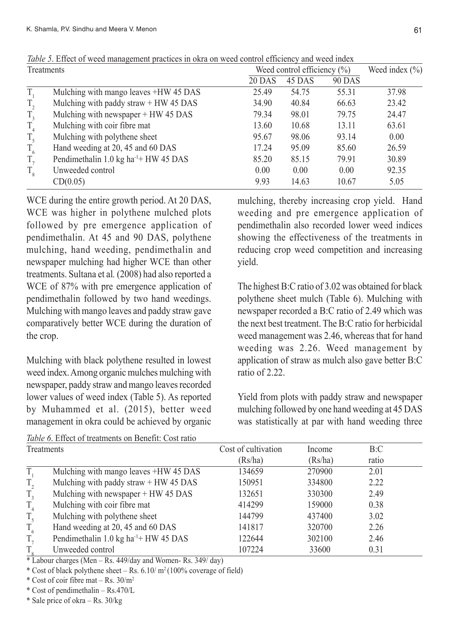| Treatments |                                                  | Weed control efficiency $(\% )$ |        |               | Weed index $(\% )$ |  |
|------------|--------------------------------------------------|---------------------------------|--------|---------------|--------------------|--|
|            |                                                  | 20 DAS                          | 45 DAS | <b>90 DAS</b> |                    |  |
| T.         | Mulching with mango leaves +HW 45 DAS            | 25.49                           | 54.75  | 55.31         | 37.98              |  |
| $T_{2}$    | Mulching with paddy straw $+$ HW 45 DAS          | 34.90                           | 40.84  | 66.63         | 23.42              |  |
| $T_{3}$    | Mulching with newspaper + HW 45 DAS              | 79.34                           | 98.01  | 79.75         | 24.47              |  |
| $T_{4}$    | Mulching with coir fibre mat                     | 13.60                           | 10.68  | 13.11         | 63.61              |  |
| $T_{5}$    | Mulching with polythene sheet                    | 95.67                           | 98.06  | 93.14         | 0.00               |  |
| $T_{6}$    | Hand weeding at 20, 45 and 60 DAS                | 17.24                           | 95.09  | 85.60         | 26.59              |  |
| $T_{\tau}$ | Pendimethalin 1.0 kg ha <sup>-1+</sup> HW 45 DAS | 85.20                           | 85.15  | 79.91         | 30.89              |  |
| $T_{8}$    | Unweeded control                                 | 0.00                            | 0.00   | 0.00          | 92.35              |  |
|            | CD(0.05)                                         | 9.93                            | 14.63  | 10.67         | 5.05               |  |

*Table 5*. Effect of weed management practices in okra on weed control efficiency and weed index

WCE during the entire growth period. At 20 DAS, WCE was higher in polythene mulched plots followed by pre emergence application of pendimethalin. At 45 and 90 DAS, polythene mulching, hand weeding, pendimethalin and newspaper mulching had higher WCE than other treatments. Sultana et al*.* (2008) had also reported a WCE of 87% with pre emergence application of pendimethalin followed by two hand weedings. Mulching with mango leaves and paddy straw gave comparatively better WCE during the duration of the crop.

Mulching with black polythene resulted in lowest weed index. Among organic mulches mulching with newspaper, paddy straw and mango leaves recorded lower values of weed index (Table 5). As reported by Muhammed et al. (2015), better weed management in okra could be achieved by organic

mulching, thereby increasing crop yield. Hand weeding and pre emergence application of pendimethalin also recorded lower weed indices showing the effectiveness of the treatments in reducing crop weed competition and increasing yield.

The highest B:C ratio of 3.02 was obtained for black polythene sheet mulch (Table 6). Mulching with newspaper recorded a B:C ratio of 2.49 which was the next best treatment. The B:C ratio for herbicidal weed management was 2.46, whereas that for hand weeding was 2.26. Weed management by application of straw as mulch also gave better B:C ratio of 2.22.

Yield from plots with paddy straw and newspaper mulching followed by one hand weeding at 45 DAS was statistically at par with hand weeding three

| Table 6. Effect of treatments on Benefit: Cost ratio |                                                  |                     |         |       |  |  |
|------------------------------------------------------|--------------------------------------------------|---------------------|---------|-------|--|--|
| Treatments                                           |                                                  | Cost of cultivation | Income  | B:C   |  |  |
|                                                      |                                                  | (Rs/ha)             | (Rs/ha) | ratio |  |  |
| T.                                                   | Mulching with mango leaves +HW 45 DAS            | 134659              | 270900  | 2.01  |  |  |
| $T_{2}$                                              | Mulching with paddy straw + HW 45 DAS            | 150951              | 334800  | 2.22  |  |  |
| $T_{3}$                                              | Mulching with newspaper + HW 45 DAS              | 132651              | 330300  | 2.49  |  |  |
| T <sub>4</sub>                                       | Mulching with coir fibre mat                     | 414299              | 159000  | 0.38  |  |  |
| $T_{\zeta}$                                          | Mulching with polythene sheet                    | 144799              | 437400  | 3.02  |  |  |
| $T_{6}$                                              | Hand weeding at 20, 45 and 60 DAS                | 141817              | 320700  | 2.26  |  |  |
| $T_{\tau}$                                           | Pendimethalin 1.0 kg ha <sup>-1+</sup> HW 45 DAS | 122644              | 302100  | 2.46  |  |  |
| $T_{\circ}$                                          | Unweeded control                                 | 107224              | 33600   | 0.31  |  |  |

 $*$  Labour charges (Men – Rs. 449/day and Women- Rs. 349/day)

\* Cost of black polythene sheet – Rs.  $6.10/m^2(100\%$  coverage of field)

\* Cost of coir fibre mat – Rs.  $30/m^2$ 

\* Cost of pendimethalin – Rs.470/L

\* Sale price of okra – Rs. 30/kg